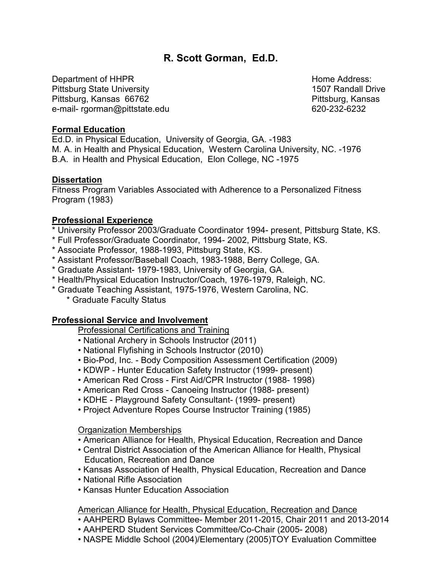# **R. Scott Gorman, Ed.D.**

Department of HHPR **Home Address:** Note that the Mateur Address: Home Address: Pittsburg State University 1507 Randall Drive Pittsburg, Kansas 66762 Pittsburg, Kansas e-mail- rgorman@pittstate.edu 620-232-6232

### **Formal Education**

Ed.D. in Physical Education, University of Georgia, GA. -1983 M. A. in Health and Physical Education, Western Carolina University, NC. -1976 B.A. in Health and Physical Education, Elon College, NC -1975

#### **Dissertation**

Fitness Program Variables Associated with Adherence to a Personalized Fitness Program (1983)

## **Professional Experience**

- \* University Professor 2003/Graduate Coordinator 1994- present, Pittsburg State, KS.
- \* Full Professor/Graduate Coordinator, 1994- 2002, Pittsburg State, KS.
- \* Associate Professor, 1988-1993, Pittsburg State, KS.
- \* Assistant Professor/Baseball Coach, 1983-1988, Berry College, GA.
- \* Graduate Assistant- 1979-1983, University of Georgia, GA.
- \* Health/Physical Education Instructor/Coach, 1976-1979, Raleigh, NC.
- \* Graduate Teaching Assistant, 1975-1976, Western Carolina, NC.
	- \* Graduate Faculty Status

## **Professional Service and Involvement**

Professional Certifications and Training

- National Archery in Schools Instructor (2011)
- National Flyfishing in Schools Instructor (2010)
- Bio-Pod, Inc. Body Composition Assessment Certification (2009)
- KDWP Hunter Education Safety Instructor (1999- present)
- American Red Cross First Aid/CPR Instructor (1988- 1998)
- American Red Cross Canoeing Instructor (1988- present)
- KDHE Playground Safety Consultant- (1999- present)
- Project Adventure Ropes Course Instructor Training (1985)

#### Organization Memberships

- American Alliance for Health, Physical Education, Recreation and Dance
- Central District Association of the American Alliance for Health, Physical Education, Recreation and Dance
- Kansas Association of Health, Physical Education, Recreation and Dance
- National Rifle Association
- Kansas Hunter Education Association

## American Alliance for Health, Physical Education, Recreation and Dance

- AAHPERD Bylaws Committee- Member 2011-2015, Chair 2011 and 2013-2014
- AAHPERD Student Services Committee/Co-Chair (2005- 2008)
- NASPE Middle School (2004)/Elementary (2005)TOY Evaluation Committee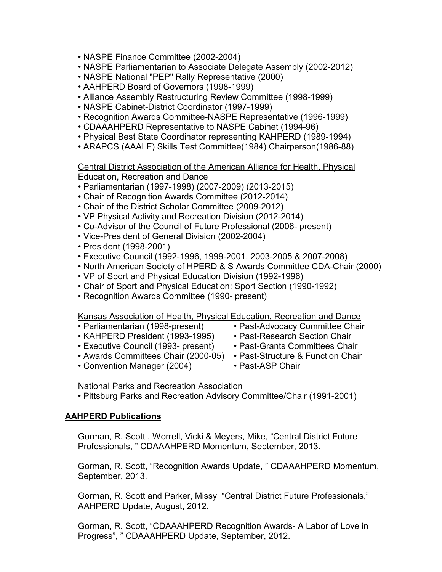- NASPE Finance Committee (2002-2004)
- NASPE Parliamentarian to Associate Delegate Assembly (2002-2012)
- NASPE National "PEP" Rally Representative (2000)
- AAHPERD Board of Governors (1998-1999)
- Alliance Assembly Restructuring Review Committee (1998-1999)
- NASPE Cabinet-District Coordinator (1997-1999)
- Recognition Awards Committee-NASPE Representative (1996-1999)
- CDAAAHPERD Representative to NASPE Cabinet (1994-96)
- Physical Best State Coordinator representing KAHPERD (1989-1994)
- ARAPCS (AAALF) Skills Test Committee(1984) Chairperson(1986-88)

Central District Association of the American Alliance for Health, Physical Education, Recreation and Dance

- Parliamentarian (1997-1998) (2007-2009) (2013-2015)
- Chair of Recognition Awards Committee (2012-2014)
- Chair of the District Scholar Committee (2009-2012)
- VP Physical Activity and Recreation Division (2012-2014)
- Co-Advisor of the Council of Future Professional (2006- present)
- Vice-President of General Division (2002-2004)
- President (1998-2001)
- Executive Council (1992-1996, 1999-2001, 2003-2005 & 2007-2008)
- North American Society of HPERD & S Awards Committee CDA-Chair (2000)
- VP of Sport and Physical Education Division (1992-1996)
- Chair of Sport and Physical Education: Sport Section (1990-1992)
- Recognition Awards Committee (1990- present)

Kansas Association of Health, Physical Education, Recreation and Dance

- Parliamentarian (1998-present) Past-Advocacy Committee Chair
- KAHPERD President (1993-1995) Past-Research Section Chair
- Executive Council (1993- present) Past-Grants Committees Chair
- 
- Convention Manager (2004) Past-ASP Chair
- 
- Awards Committees Chair (2000-05) Past-Structure & Function Chair
	-
- National Parks and Recreation Association
- Pittsburg Parks and Recreation Advisory Committee/Chair (1991-2001)

## **AAHPERD Publications**

Gorman, R. Scott , Worrell, Vicki & Meyers, Mike, "Central District Future Professionals, " CDAAAHPERD Momentum, September, 2013.

Gorman, R. Scott, "Recognition Awards Update, " CDAAAHPERD Momentum, September, 2013.

Gorman, R. Scott and Parker, Missy "Central District Future Professionals," AAHPERD Update, August, 2012.

Gorman, R. Scott, "CDAAAHPERD Recognition Awards- A Labor of Love in Progress", " CDAAAHPERD Update, September, 2012.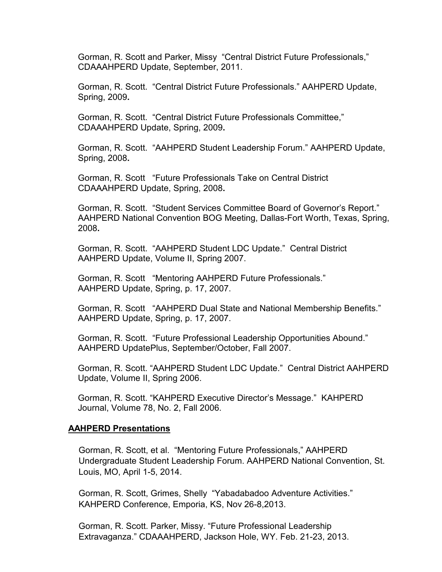Gorman, R. Scott and Parker, Missy "Central District Future Professionals," CDAAAHPERD Update, September, 2011.

Gorman, R. Scott. "Central District Future Professionals." AAHPERD Update, Spring, 2009**.**

Gorman, R. Scott. "Central District Future Professionals Committee," CDAAAHPERD Update, Spring, 2009**.**

Gorman, R. Scott. "AAHPERD Student Leadership Forum." AAHPERD Update, Spring, 2008**.**

Gorman, R. Scott "Future Professionals Take on Central District CDAAAHPERD Update, Spring, 2008**.**

Gorman, R. Scott. "Student Services Committee Board of Governor's Report." AAHPERD National Convention BOG Meeting, Dallas-Fort Worth, Texas, Spring, 2008**.**

Gorman, R. Scott. "AAHPERD Student LDC Update." Central District AAHPERD Update, Volume II, Spring 2007.

Gorman, R. Scott "Mentoring AAHPERD Future Professionals." AAHPERD Update, Spring, p. 17, 2007.

Gorman, R. Scott "AAHPERD Dual State and National Membership Benefits." AAHPERD Update, Spring, p. 17, 2007.

Gorman, R. Scott. "Future Professional Leadership Opportunities Abound." AAHPERD UpdatePlus, September/October, Fall 2007.

Gorman, R. Scott. "AAHPERD Student LDC Update." Central District AAHPERD Update, Volume II, Spring 2006.

Gorman, R. Scott. "KAHPERD Executive Director's Message." KAHPERD Journal, Volume 78, No. 2, Fall 2006.

#### **AAHPERD Presentations**

Gorman, R. Scott, et al. "Mentoring Future Professionals," AAHPERD Undergraduate Student Leadership Forum. AAHPERD National Convention, St. Louis, MO, April 1-5, 2014.

Gorman, R. Scott, Grimes, Shelly "Yabadabadoo Adventure Activities." KAHPERD Conference, Emporia, KS, Nov 26-8,2013.

Gorman, R. Scott. Parker, Missy. "Future Professional Leadership Extravaganza." CDAAAHPERD, Jackson Hole, WY. Feb. 21-23, 2013.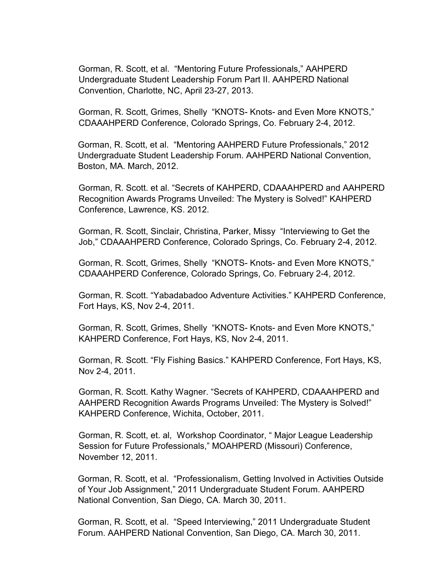Gorman, R. Scott, et al. "Mentoring Future Professionals," AAHPERD Undergraduate Student Leadership Forum Part II. AAHPERD National Convention, Charlotte, NC, April 23-27, 2013.

Gorman, R. Scott, Grimes, Shelly "KNOTS- Knots- and Even More KNOTS," CDAAAHPERD Conference, Colorado Springs, Co. February 2-4, 2012.

Gorman, R. Scott, et al. "Mentoring AAHPERD Future Professionals," 2012 Undergraduate Student Leadership Forum. AAHPERD National Convention, Boston, MA. March, 2012.

Gorman, R. Scott. et al. "Secrets of KAHPERD, CDAAAHPERD and AAHPERD Recognition Awards Programs Unveiled: The Mystery is Solved!" KAHPERD Conference, Lawrence, KS. 2012.

Gorman, R. Scott, Sinclair, Christina, Parker, Missy "Interviewing to Get the Job," CDAAAHPERD Conference, Colorado Springs, Co. February 2-4, 2012.

Gorman, R. Scott, Grimes, Shelly "KNOTS- Knots- and Even More KNOTS," CDAAAHPERD Conference, Colorado Springs, Co. February 2-4, 2012.

Gorman, R. Scott. "Yabadabadoo Adventure Activities." KAHPERD Conference, Fort Hays, KS, Nov 2-4, 2011.

Gorman, R. Scott, Grimes, Shelly "KNOTS- Knots- and Even More KNOTS," KAHPERD Conference, Fort Hays, KS, Nov 2-4, 2011.

Gorman, R. Scott. "Fly Fishing Basics." KAHPERD Conference, Fort Hays, KS, Nov 2-4, 2011.

Gorman, R. Scott. Kathy Wagner. "Secrets of KAHPERD, CDAAAHPERD and AAHPERD Recognition Awards Programs Unveiled: The Mystery is Solved!" KAHPERD Conference, Wichita, October, 2011.

Gorman, R. Scott, et. al, Workshop Coordinator, " Major League Leadership Session for Future Professionals," MOAHPERD (Missouri) Conference, November 12, 2011.

Gorman, R. Scott, et al. "Professionalism, Getting Involved in Activities Outside of Your Job Assignment," 2011 Undergraduate Student Forum. AAHPERD National Convention, San Diego, CA. March 30, 2011.

Gorman, R. Scott, et al. "Speed Interviewing," 2011 Undergraduate Student Forum. AAHPERD National Convention, San Diego, CA. March 30, 2011.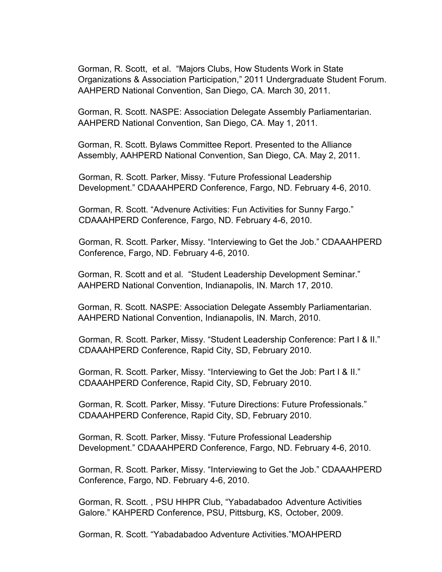Gorman, R. Scott, et al. "Majors Clubs, How Students Work in State Organizations & Association Participation," 2011 Undergraduate Student Forum. AAHPERD National Convention, San Diego, CA. March 30, 2011.

Gorman, R. Scott. NASPE: Association Delegate Assembly Parliamentarian. AAHPERD National Convention, San Diego, CA. May 1, 2011.

Gorman, R. Scott. Bylaws Committee Report. Presented to the Alliance Assembly, AAHPERD National Convention, San Diego, CA. May 2, 2011.

Gorman, R. Scott. Parker, Missy. "Future Professional Leadership Development." CDAAAHPERD Conference, Fargo, ND. February 4-6, 2010.

Gorman, R. Scott. "Advenure Activities: Fun Activities for Sunny Fargo." CDAAAHPERD Conference, Fargo, ND. February 4-6, 2010.

Gorman, R. Scott. Parker, Missy. "Interviewing to Get the Job." CDAAAHPERD Conference, Fargo, ND. February 4-6, 2010.

Gorman, R. Scott and et al. "Student Leadership Development Seminar." AAHPERD National Convention, Indianapolis, IN. March 17, 2010.

Gorman, R. Scott. NASPE: Association Delegate Assembly Parliamentarian. AAHPERD National Convention, Indianapolis, IN. March, 2010.

Gorman, R. Scott. Parker, Missy. "Student Leadership Conference: Part I & II." CDAAAHPERD Conference, Rapid City, SD, February 2010.

Gorman, R. Scott. Parker, Missy. "Interviewing to Get the Job: Part I & II." CDAAAHPERD Conference, Rapid City, SD, February 2010.

Gorman, R. Scott. Parker, Missy. "Future Directions: Future Professionals." CDAAAHPERD Conference, Rapid City, SD, February 2010.

Gorman, R. Scott. Parker, Missy. "Future Professional Leadership Development." CDAAAHPERD Conference, Fargo, ND. February 4-6, 2010.

Gorman, R. Scott. Parker, Missy. "Interviewing to Get the Job." CDAAAHPERD Conference, Fargo, ND. February 4-6, 2010.

Gorman, R. Scott. , PSU HHPR Club, "Yabadabadoo Adventure Activities Galore." KAHPERD Conference, PSU, Pittsburg, KS, October, 2009.

Gorman, R. Scott. "Yabadabadoo Adventure Activities."MOAHPERD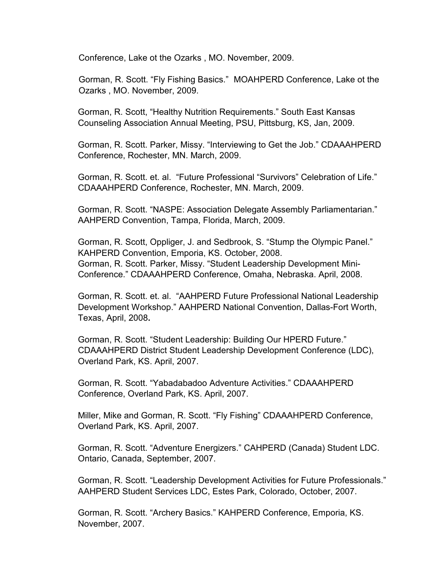Conference, Lake ot the Ozarks , MO. November, 2009.

Gorman, R. Scott. "Fly Fishing Basics." MOAHPERD Conference, Lake ot the Ozarks , MO. November, 2009.

Gorman, R. Scott, "Healthy Nutrition Requirements." South East Kansas Counseling Association Annual Meeting, PSU, Pittsburg, KS, Jan, 2009.

Gorman, R. Scott. Parker, Missy. "Interviewing to Get the Job." CDAAAHPERD Conference, Rochester, MN. March, 2009.

Gorman, R. Scott. et. al. "Future Professional "Survivors" Celebration of Life." CDAAAHPERD Conference, Rochester, MN. March, 2009.

Gorman, R. Scott. "NASPE: Association Delegate Assembly Parliamentarian." AAHPERD Convention, Tampa, Florida, March, 2009.

Gorman, R. Scott, Oppliger, J. and Sedbrook, S. "Stump the Olympic Panel." KAHPERD Convention, Emporia, KS. October, 2008. Gorman, R. Scott. Parker, Missy. "Student Leadership Development Mini-Conference." CDAAAHPERD Conference, Omaha, Nebraska. April, 2008.

Gorman, R. Scott. et. al. "AAHPERD Future Professional National Leadership Development Workshop." AAHPERD National Convention, Dallas-Fort Worth, Texas, April, 2008**.**

Gorman, R. Scott. "Student Leadership: Building Our HPERD Future." CDAAAHPERD District Student Leadership Development Conference (LDC), Overland Park, KS. April, 2007.

Gorman, R. Scott. "Yabadabadoo Adventure Activities." CDAAAHPERD Conference, Overland Park, KS. April, 2007.

Miller, Mike and Gorman, R. Scott. "Fly Fishing" CDAAAHPERD Conference, Overland Park, KS. April, 2007.

Gorman, R. Scott. "Adventure Energizers." CAHPERD (Canada) Student LDC. Ontario, Canada, September, 2007.

Gorman, R. Scott. "Leadership Development Activities for Future Professionals." AAHPERD Student Services LDC, Estes Park, Colorado, October, 2007.

Gorman, R. Scott. "Archery Basics." KAHPERD Conference, Emporia, KS. November, 2007.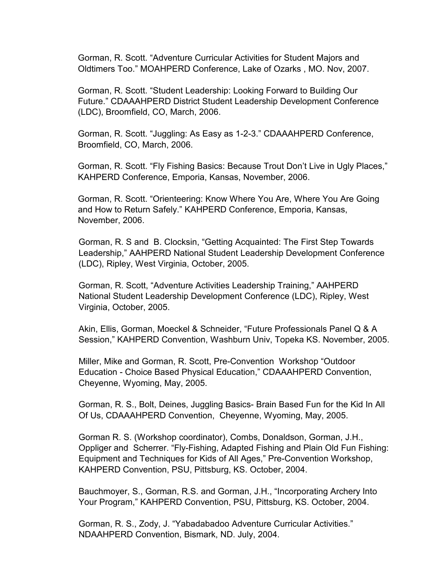Gorman, R. Scott. "Adventure Curricular Activities for Student Majors and Oldtimers Too." MOAHPERD Conference, Lake of Ozarks , MO. Nov, 2007.

Gorman, R. Scott. "Student Leadership: Looking Forward to Building Our Future." CDAAAHPERD District Student Leadership Development Conference (LDC), Broomfield, CO, March, 2006.

Gorman, R. Scott. "Juggling: As Easy as 1-2-3." CDAAAHPERD Conference, Broomfield, CO, March, 2006.

Gorman, R. Scott. "Fly Fishing Basics: Because Trout Don't Live in Ugly Places," KAHPERD Conference, Emporia, Kansas, November, 2006.

Gorman, R. Scott. "Orienteering: Know Where You Are, Where You Are Going and How to Return Safely." KAHPERD Conference, Emporia, Kansas, November, 2006.

Gorman, R. S and B. Clocksin, "Getting Acquainted: The First Step Towards Leadership," AAHPERD National Student Leadership Development Conference (LDC), Ripley, West Virginia, October, 2005.

Gorman, R. Scott, "Adventure Activities Leadership Training," AAHPERD National Student Leadership Development Conference (LDC), Ripley, West Virginia, October, 2005.

Akin, Ellis, Gorman, Moeckel & Schneider, "Future Professionals Panel Q & A Session," KAHPERD Convention, Washburn Univ, Topeka KS. November, 2005.

Miller, Mike and Gorman, R. Scott, Pre-Convention Workshop "Outdoor Education - Choice Based Physical Education," CDAAAHPERD Convention, Cheyenne, Wyoming, May, 2005.

Gorman, R. S., Bolt, Deines, Juggling Basics- Brain Based Fun for the Kid In All Of Us, CDAAAHPERD Convention, Cheyenne, Wyoming, May, 2005.

Gorman R. S. (Workshop coordinator), Combs, Donaldson, Gorman, J.H., Oppliger and Scherrer. "Fly-Fishing, Adapted Fishing and Plain Old Fun Fishing: Equipment and Techniques for Kids of All Ages," Pre-Convention Workshop, KAHPERD Convention, PSU, Pittsburg, KS. October, 2004.

Bauchmoyer, S., Gorman, R.S. and Gorman, J.H., "Incorporating Archery Into Your Program," KAHPERD Convention, PSU, Pittsburg, KS. October, 2004.

Gorman, R. S., Zody, J. "Yabadabadoo Adventure Curricular Activities." NDAAHPERD Convention, Bismark, ND. July, 2004.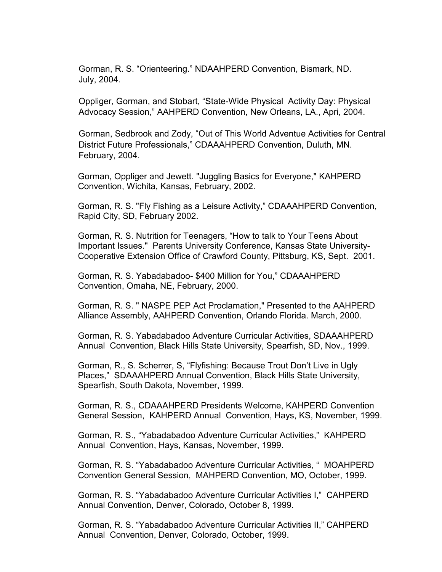Gorman, R. S. "Orienteering." NDAAHPERD Convention, Bismark, ND. July, 2004.

Oppliger, Gorman, and Stobart, "State-Wide Physical Activity Day: Physical Advocacy Session," AAHPERD Convention, New Orleans, LA., Apri, 2004.

Gorman, Sedbrook and Zody, "Out of This World Adventue Activities for Central District Future Professionals," CDAAAHPERD Convention, Duluth, MN. February, 2004.

Gorman, Oppliger and Jewett. "Juggling Basics for Everyone," KAHPERD Convention, Wichita, Kansas, February, 2002.

Gorman, R. S. "Fly Fishing as a Leisure Activity," CDAAAHPERD Convention, Rapid City, SD, February 2002.

Gorman, R. S. Nutrition for Teenagers, "How to talk to Your Teens About Important Issues." Parents University Conference, Kansas State University-Cooperative Extension Office of Crawford County, Pittsburg, KS, Sept. 2001.

Gorman, R. S. Yabadabadoo- \$400 Million for You," CDAAAHPERD Convention, Omaha, NE, February, 2000.

Gorman, R. S. " NASPE PEP Act Proclamation," Presented to the AAHPERD Alliance Assembly, AAHPERD Convention, Orlando Florida. March, 2000.

Gorman, R. S. Yabadabadoo Adventure Curricular Activities, SDAAAHPERD Annual Convention, Black Hills State University, Spearfish, SD, Nov., 1999.

Gorman, R., S. Scherrer, S, "Flyfishing: Because Trout Don't Live in Ugly Places," SDAAAHPERD Annual Convention, Black Hills State University, Spearfish, South Dakota, November, 1999.

Gorman, R. S., CDAAAHPERD Presidents Welcome, KAHPERD Convention General Session, KAHPERD Annual Convention, Hays, KS, November, 1999.

Gorman, R. S., "Yabadabadoo Adventure Curricular Activities," KAHPERD Annual Convention, Hays, Kansas, November, 1999.

Gorman, R. S. "Yabadabadoo Adventure Curricular Activities, " MOAHPERD Convention General Session, MAHPERD Convention, MO, October, 1999.

Gorman, R. S. "Yabadabadoo Adventure Curricular Activities I," CAHPERD Annual Convention, Denver, Colorado, October 8, 1999.

Gorman, R. S. "Yabadabadoo Adventure Curricular Activities II," CAHPERD Annual Convention, Denver, Colorado, October, 1999.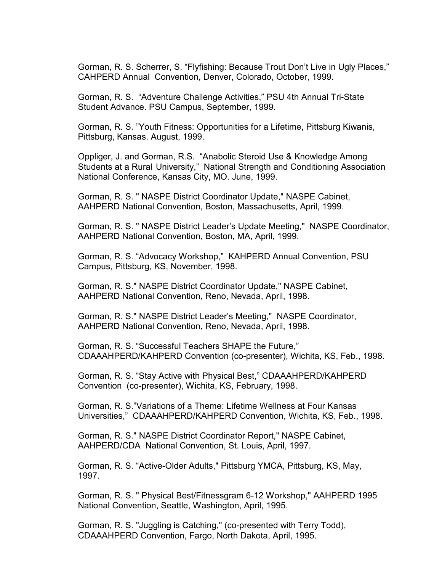Gorman, R. S. Scherrer, S. "Flyfishing: Because Trout Don't Live in Ugly Places," CAHPERD Annual Convention, Denver, Colorado, October, 1999.

Gorman, R. S. "Adventure Challenge Activities," PSU 4th Annual Tri-State Student Advance. PSU Campus, September, 1999.

Gorman, R. S. "Youth Fitness: Opportunities for a Lifetime, Pittsburg Kiwanis, Pittsburg, Kansas. August, 1999.

Oppliger, J. and Gorman, R.S. "Anabolic Steroid Use & Knowledge Among Students at a Rural University," National Strength and Conditioning Association National Conference, Kansas City, MO. June, 1999.

Gorman, R. S. " NASPE District Coordinator Update," NASPE Cabinet, AAHPERD National Convention, Boston, Massachusetts, April, 1999.

Gorman, R. S. " NASPE District Leader's Update Meeting," NASPE Coordinator, AAHPERD National Convention, Boston, MA, April, 1999.

Gorman, R. S. "Advocacy Workshop," KAHPERD Annual Convention, PSU Campus, Pittsburg, KS, November, 1998.

Gorman, R. S." NASPE District Coordinator Update," NASPE Cabinet, AAHPERD National Convention, Reno, Nevada, April, 1998.

Gorman, R. S." NASPE District Leader's Meeting," NASPE Coordinator, AAHPERD National Convention, Reno, Nevada, April, 1998.

Gorman, R. S. "Successful Teachers SHAPE the Future," CDAAAHPERD/KAHPERD Convention (co-presenter), Wichita, KS, Feb., 1998.

Gorman, R. S. "Stay Active with Physical Best," CDAAAHPERD/KAHPERD Convention (co-presenter), Wichita, KS, February, 1998.

Gorman, R. S."Variations of a Theme: Lifetime Wellness at Four Kansas Universities," CDAAAHPERD/KAHPERD Convention, Wichita, KS, Feb., 1998.

Gorman, R. S." NASPE District Coordinator Report," NASPE Cabinet, AAHPERD/CDA National Convention, St. Louis, April, 1997.

Gorman, R. S. "Active-Older Adults," Pittsburg YMCA, Pittsburg, KS, May, 1997.

Gorman, R. S. " Physical Best/Fitnessgram 6-12 Workshop," AAHPERD 1995 National Convention, Seattle, Washington, April, 1995.

Gorman, R. S. "Juggling is Catching," (co-presented with Terry Todd), CDAAAHPERD Convention, Fargo, North Dakota, April, 1995.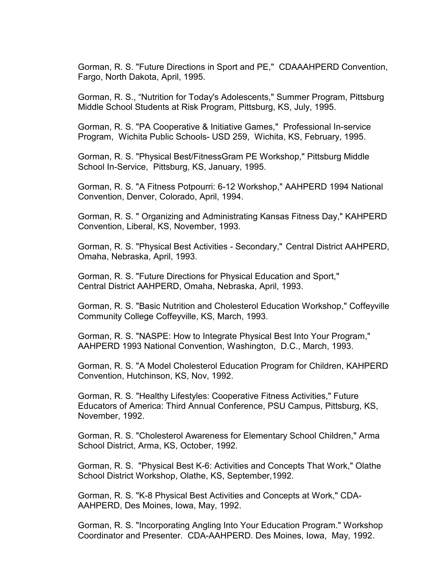Gorman, R. S. "Future Directions in Sport and PE," CDAAAHPERD Convention, Fargo, North Dakota, April, 1995.

Gorman, R. S., "Nutrition for Today's Adolescents," Summer Program, Pittsburg Middle School Students at Risk Program, Pittsburg, KS, July, 1995.

Gorman, R. S. "PA Cooperative & Initiative Games," Professional In-service Program, Wichita Public Schools- USD 259, Wichita, KS, February, 1995.

Gorman, R. S. "Physical Best/FitnessGram PE Workshop," Pittsburg Middle School In-Service, Pittsburg, KS, January, 1995.

Gorman, R. S. "A Fitness Potpourri: 6-12 Workshop," AAHPERD 1994 National Convention, Denver, Colorado, April, 1994.

Gorman, R. S. " Organizing and Administrating Kansas Fitness Day," KAHPERD Convention, Liberal, KS, November, 1993.

Gorman, R. S. "Physical Best Activities - Secondary," Central District AAHPERD, Omaha, Nebraska, April, 1993.

Gorman, R. S. "Future Directions for Physical Education and Sport," Central District AAHPERD, Omaha, Nebraska, April, 1993.

Gorman, R. S. "Basic Nutrition and Cholesterol Education Workshop," Coffeyville Community College Coffeyville, KS, March, 1993.

Gorman, R. S. "NASPE: How to Integrate Physical Best Into Your Program," AAHPERD 1993 National Convention, Washington, D.C., March, 1993.

Gorman, R. S. "A Model Cholesterol Education Program for Children, KAHPERD Convention, Hutchinson, KS, Nov, 1992.

Gorman, R. S. "Healthy Lifestyles: Cooperative Fitness Activities," Future Educators of America: Third Annual Conference, PSU Campus, Pittsburg, KS, November, 1992.

Gorman, R. S. "Cholesterol Awareness for Elementary School Children," Arma School District, Arma, KS, October, 1992.

Gorman, R. S. "Physical Best K-6: Activities and Concepts That Work," Olathe School District Workshop, Olathe, KS, September,1992.

Gorman, R. S. "K-8 Physical Best Activities and Concepts at Work," CDA-AAHPERD, Des Moines, Iowa, May, 1992.

Gorman, R. S. "Incorporating Angling Into Your Education Program." Workshop Coordinator and Presenter. CDA-AAHPERD. Des Moines, Iowa, May, 1992.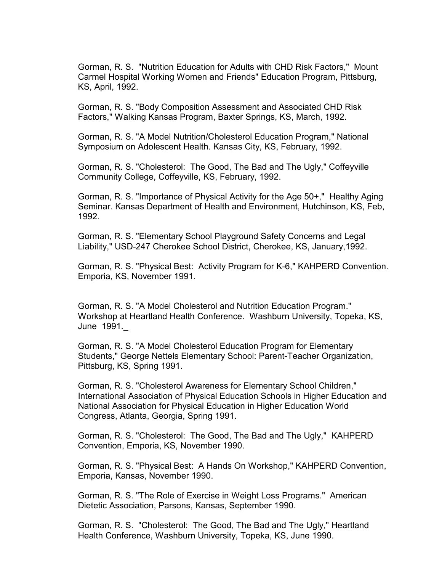Gorman, R. S. "Nutrition Education for Adults with CHD Risk Factors," Mount Carmel Hospital Working Women and Friends" Education Program, Pittsburg, KS, April, 1992.

Gorman, R. S. "Body Composition Assessment and Associated CHD Risk Factors," Walking Kansas Program, Baxter Springs, KS, March, 1992.

Gorman, R. S. "A Model Nutrition/Cholesterol Education Program," National Symposium on Adolescent Health. Kansas City, KS, February, 1992.

Gorman, R. S. "Cholesterol: The Good, The Bad and The Ugly," Coffeyville Community College, Coffeyville, KS, February, 1992.

Gorman, R. S. "Importance of Physical Activity for the Age 50+," Healthy Aging Seminar. Kansas Department of Health and Environment, Hutchinson, KS, Feb, 1992.

Gorman, R. S. "Elementary School Playground Safety Concerns and Legal Liability," USD-247 Cherokee School District, Cherokee, KS, January,1992.

Gorman, R. S. "Physical Best: Activity Program for K-6," KAHPERD Convention. Emporia, KS, November 1991.

Gorman, R. S. "A Model Cholesterol and Nutrition Education Program." Workshop at Heartland Health Conference. Washburn University, Topeka, KS, June 1991.\_

Gorman, R. S. "A Model Cholesterol Education Program for Elementary Students," George Nettels Elementary School: Parent-Teacher Organization, Pittsburg, KS, Spring 1991.

Gorman, R. S. "Cholesterol Awareness for Elementary School Children," International Association of Physical Education Schools in Higher Education and National Association for Physical Education in Higher Education World Congress, Atlanta, Georgia, Spring 1991.

Gorman, R. S. "Cholesterol: The Good, The Bad and The Ugly," KAHPERD Convention, Emporia, KS, November 1990.

Gorman, R. S. "Physical Best: A Hands On Workshop," KAHPERD Convention, Emporia, Kansas, November 1990.

Gorman, R. S. "The Role of Exercise in Weight Loss Programs." American Dietetic Association, Parsons, Kansas, September 1990.

Gorman, R. S. "Cholesterol: The Good, The Bad and The Ugly," Heartland Health Conference, Washburn University, Topeka, KS, June 1990.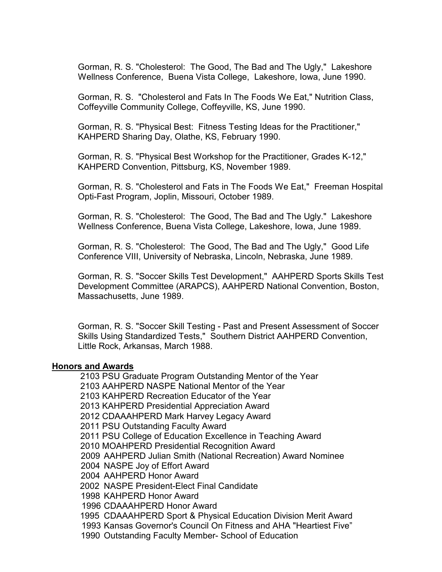Gorman, R. S. "Cholesterol: The Good, The Bad and The Ugly," Lakeshore Wellness Conference, Buena Vista College, Lakeshore, Iowa, June 1990.

Gorman, R. S. "Cholesterol and Fats In The Foods We Eat," Nutrition Class, Coffeyville Community College, Coffeyville, KS, June 1990.

Gorman, R. S. "Physical Best: Fitness Testing Ideas for the Practitioner," KAHPERD Sharing Day, Olathe, KS, February 1990.

Gorman, R. S. "Physical Best Workshop for the Practitioner, Grades K-12," KAHPERD Convention, Pittsburg, KS, November 1989.

Gorman, R. S. "Cholesterol and Fats in The Foods We Eat," Freeman Hospital Opti-Fast Program, Joplin, Missouri, October 1989.

Gorman, R. S. "Cholesterol: The Good, The Bad and The Ugly." Lakeshore Wellness Conference, Buena Vista College, Lakeshore, Iowa, June 1989.

Gorman, R. S. "Cholesterol: The Good, The Bad and The Ugly," Good Life Conference VIII, University of Nebraska, Lincoln, Nebraska, June 1989.

Gorman, R. S. "Soccer Skills Test Development," AAHPERD Sports Skills Test Development Committee (ARAPCS), AAHPERD National Convention, Boston, Massachusetts, June 1989.

Gorman, R. S. "Soccer Skill Testing - Past and Present Assessment of Soccer Skills Using Standardized Tests," Southern District AAHPERD Convention, Little Rock, Arkansas, March 1988.

#### **Honors and Awards**

2103 PSU Graduate Program Outstanding Mentor of the Year 2103 AAHPERD NASPE National Mentor of the Year 2103 KAHPERD Recreation Educator of the Year 2013 KAHPERD Presidential Appreciation Award 2012 CDAAAHPERD Mark Harvey Legacy Award 2011 PSU Outstanding Faculty Award 2011 PSU College of Education Excellence in Teaching Award 2010 MOAHPERD Presidential Recognition Award 2009 AAHPERD Julian Smith (National Recreation) Award Nominee 2004 NASPE Joy of Effort Award 2004 AAHPERD Honor Award 2002 NASPE President-Elect Final Candidate 1998 KAHPERD Honor Award 1996 CDAAAHPERD Honor Award 1995 CDAAAHPERD Sport & Physical Education Division Merit Award 1993 Kansas Governor's Council On Fitness and AHA "Heartiest Five"

1990 Outstanding Faculty Member- School of Education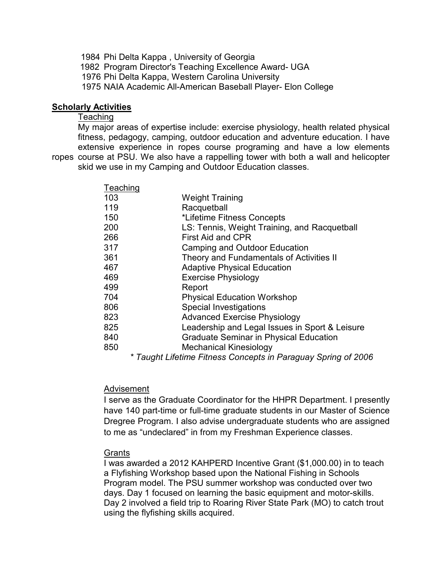1984 Phi Delta Kappa , University of Georgia 1982 Program Director's Teaching Excellence Award- UGA 1976 Phi Delta Kappa, Western Carolina University 1975 NAIA Academic All-American Baseball Player- Elon College

#### **Scholarly Activities**

## **Teaching**

My major areas of expertise include: exercise physiology, health related physical fitness, pedagogy, camping, outdoor education and adventure education. I have extensive experience in ropes course programing and have a low elements ropes course at PSU. We also have a rappelling tower with both a wall and helicopter skid we use in my Camping and Outdoor Education classes.

| Teaching |                                                |
|----------|------------------------------------------------|
| 103      | <b>Weight Training</b>                         |
| 119      | Racquetball                                    |
| 150      | *Lifetime Fitness Concepts                     |
| 200      | LS: Tennis, Weight Training, and Racquetball   |
| 266      | First Aid and CPR                              |
| 317      | <b>Camping and Outdoor Education</b>           |
| 361      | Theory and Fundamentals of Activities II       |
| 467      | <b>Adaptive Physical Education</b>             |
| 469      | <b>Exercise Physiology</b>                     |
| 499      | Report                                         |
| 704      | <b>Physical Education Workshop</b>             |
| 806      | <b>Special Investigations</b>                  |
| 823      | <b>Advanced Exercise Physiology</b>            |
| 825      | Leadership and Legal Issues in Sport & Leisure |
| 840      | <b>Graduate Seminar in Physical Education</b>  |
| 850      | <b>Mechanical Kinesiology</b>                  |
|          |                                                |

*\* Taught Lifetime Fitness Concepts in Paraguay Spring of 2006*

#### Advisement

I serve as the Graduate Coordinator for the HHPR Department. I presently have 140 part-time or full-time graduate students in our Master of Science Dregree Program. I also advise undergraduate students who are assigned to me as "undeclared" in from my Freshman Experience classes.

#### Grants

I was awarded a 2012 KAHPERD Incentive Grant (\$1,000.00) in to teach a Flyfishing Workshop based upon the National Fishing in Schools Program model. The PSU summer workshop was conducted over two days. Day 1 focused on learning the basic equipment and motor-skills. Day 2 involved a field trip to Roaring River State Park (MO) to catch trout using the flyfishing skills acquired.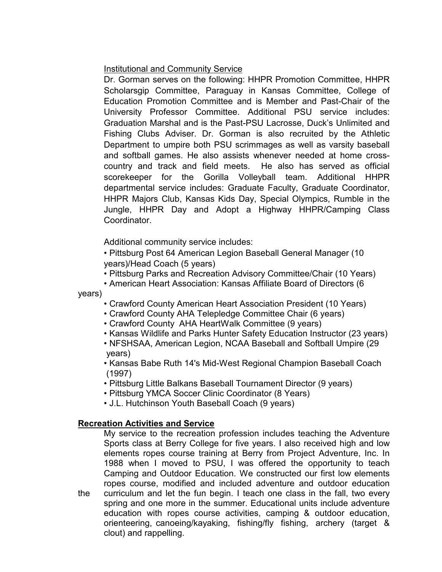Institutional and Community Service

Dr. Gorman serves on the following: HHPR Promotion Committee, HHPR Scholarsgip Committee, Paraguay in Kansas Committee, College of Education Promotion Committee and is Member and Past-Chair of the University Professor Committee. Additional PSU service includes: Graduation Marshal and is the Past-PSU Lacrosse, Duck's Unlimited and Fishing Clubs Adviser. Dr. Gorman is also recruited by the Athletic Department to umpire both PSU scrimmages as well as varsity baseball and softball games. He also assists whenever needed at home crosscountry and track and field meets. He also has served as official scorekeeper for the Gorilla Volleyball team. Additional HHPR departmental service includes: Graduate Faculty, Graduate Coordinator, HHPR Majors Club, Kansas Kids Day, Special Olympics, Rumble in the Jungle, HHPR Day and Adopt a Highway HHPR/Camping Class Coordinator.

Additional community service includes:

• Pittsburg Post 64 American Legion Baseball General Manager (10 years)/Head Coach (5 years)

• Pittsburg Parks and Recreation Advisory Committee/Chair (10 Years)

• American Heart Association: Kansas Affiliate Board of Directors (6 years)

• Crawford County American Heart Association President (10 Years)

- Crawford County AHA Telepledge Committee Chair (6 years)
- Crawford County AHA HeartWalk Committee (9 years)
- Kansas Wildlife and Parks Hunter Safety Education Instructor (23 years)
- NFSHSAA, American Legion, NCAA Baseball and Softball Umpire (29 years)

• Kansas Babe Ruth 14's Mid-West Regional Champion Baseball Coach (1997)

• Pittsburg Little Balkans Baseball Tournament Director (9 years)

• Pittsburg YMCA Soccer Clinic Coordinator (8 Years)

• J.L. Hutchinson Youth Baseball Coach (9 years)

## **Recreation Activities and Service**

My service to the recreation profession includes teaching the Adventure Sports class at Berry College for five years. I also received high and low elements ropes course training at Berry from Project Adventure, Inc. In 1988 when I moved to PSU, I was offered the opportunity to teach Camping and Outdoor Education. We constructed our first low elements ropes course, modified and included adventure and outdoor education the curriculum and let the fun begin. I teach one class in the fall, two every spring and one more in the summer. Educational units include adventure education with ropes course activities, camping & outdoor education, orienteering, canoeing/kayaking, fishing/fly fishing, archery (target & clout) and rappelling.